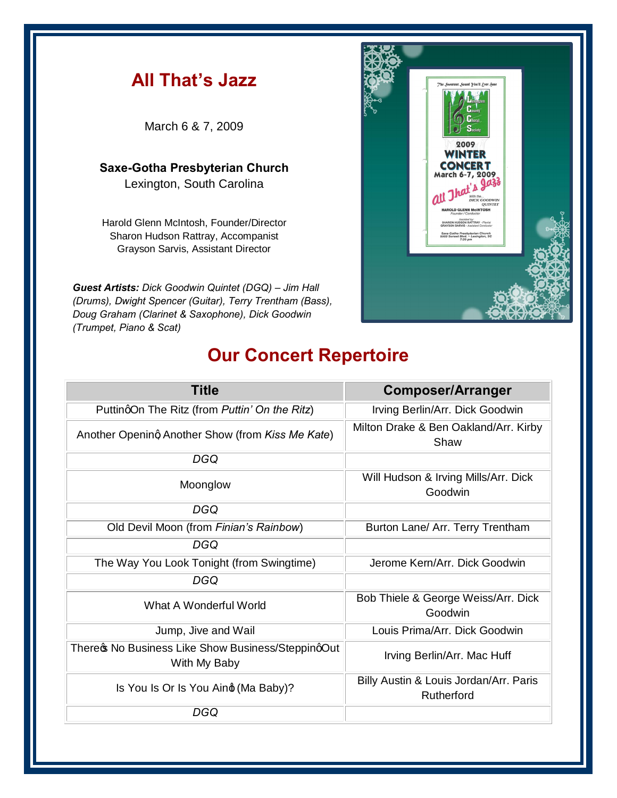## **All That's Jazz** March 6 & 7, 2009 2009 **INTER Saxe-Gotha Presbyterian Church CONCERT** March 6-7, 2009 Lexington, South Carolina Harold Glenn McIntosh, Founder/Director Sharon Hudson Rattray, Accompanist Grayson Sarvis, Assistant Director *Guest Artists: Dick Goodwin Quintet (DGQ) – Jim Hall (Drums), Dwight Spencer (Guitar), Terry Trentham (Bass),*

## **Our Concert Repertoire**

*Doug Graham (Clarinet & Saxophone), Dick Goodwin* 

*(Trumpet, Piano & Scat)*

| <b>Title</b>                                                       | <b>Composer/Arranger</b>                             |
|--------------------------------------------------------------------|------------------------------------------------------|
| PuttingOn The Ritz (from Puttin' On the Ritz)                      | Irving Berlin/Arr. Dick Goodwin                      |
| Another Opening Another Show (from Kiss Me Kate)                   | Milton Drake & Ben Oakland/Arr. Kirby<br>Shaw        |
| DGQ                                                                |                                                      |
| Moonglow                                                           | Will Hudson & Irving Mills/Arr. Dick<br>Goodwin      |
| DGQ                                                                |                                                      |
| Old Devil Moon (from Finian's Rainbow)                             | Burton Lane/ Arr. Terry Trentham                     |
| DGQ                                                                |                                                      |
| The Way You Look Tonight (from Swingtime)                          | Jerome Kern/Arr. Dick Goodwin                        |
| DGQ                                                                |                                                      |
| What A Wonderful World                                             | Bob Thiele & George Weiss/Arr. Dick<br>Goodwin       |
| Jump, Jive and Wail                                                | Louis Prima/Arr. Dick Goodwin                        |
| Therect No Business Like Show Business/SteppingOut<br>With My Baby | Irving Berlin/Arr. Mac Huff                          |
| Is You Is Or Is You Aind (Ma Baby)?                                | Billy Austin & Louis Jordan/Arr. Paris<br>Rutherford |
| DGQ                                                                |                                                      |